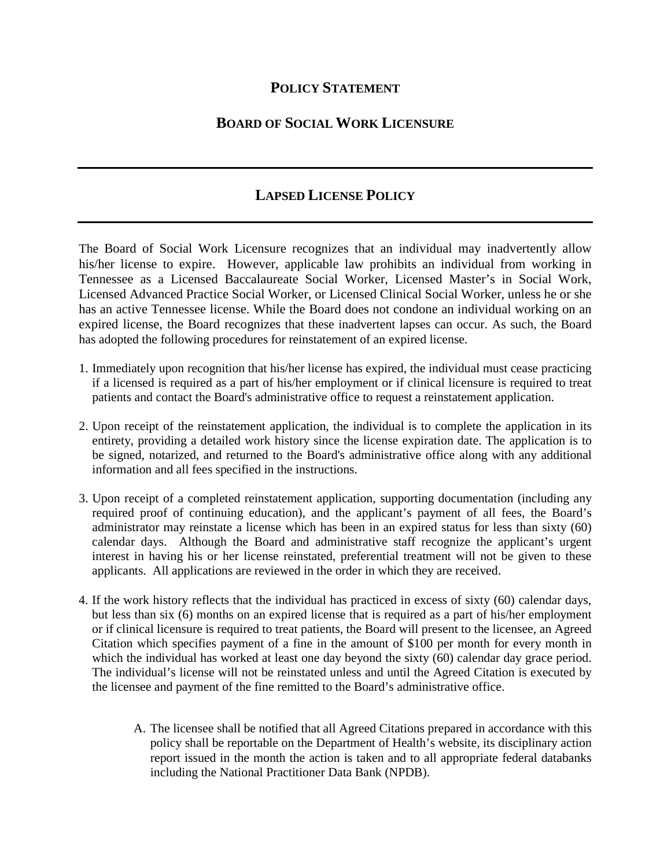## **POLICY STATEMENT**

## **BOARD OF SOCIAL WORK LICENSURE**

## **LAPSED LICENSE POLICY**

The Board of Social Work Licensure recognizes that an individual may inadvertently allow his/her license to expire. However, applicable law prohibits an individual from working in Tennessee as a Licensed Baccalaureate Social Worker, Licensed Master's in Social Work, Licensed Advanced Practice Social Worker, or Licensed Clinical Social Worker, unless he or she has an active Tennessee license. While the Board does not condone an individual working on an expired license, the Board recognizes that these inadvertent lapses can occur. As such, the Board has adopted the following procedures for reinstatement of an expired license.

- 1. Immediately upon recognition that his/her license has expired, the individual must cease practicing if a licensed is required as a part of his/her employment or if clinical licensure is required to treat patients and contact the Board's administrative office to request a reinstatement application.
- 2. Upon receipt of the reinstatement application, the individual is to complete the application in its entirety, providing a detailed work history since the license expiration date. The application is to be signed, notarized, and returned to the Board's administrative office along with any additional information and all fees specified in the instructions.
- 3. Upon receipt of a completed reinstatement application, supporting documentation (including any required proof of continuing education), and the applicant's payment of all fees, the Board's administrator may reinstate a license which has been in an expired status for less than sixty (60) calendar days. Although the Board and administrative staff recognize the applicant's urgent interest in having his or her license reinstated, preferential treatment will not be given to these applicants. All applications are reviewed in the order in which they are received.
- 4. If the work history reflects that the individual has practiced in excess of sixty (60) calendar days, but less than six (6) months on an expired license that is required as a part of his/her employment or if clinical licensure is required to treat patients, the Board will present to the licensee, an Agreed Citation which specifies payment of a fine in the amount of \$100 per month for every month in which the individual has worked at least one day beyond the sixty (60) calendar day grace period. The individual's license will not be reinstated unless and until the Agreed Citation is executed by the licensee and payment of the fine remitted to the Board's administrative office.
	- A. The licensee shall be notified that all Agreed Citations prepared in accordance with this policy shall be reportable on the Department of Health's website, its disciplinary action report issued in the month the action is taken and to all appropriate federal databanks including the National Practitioner Data Bank (NPDB).